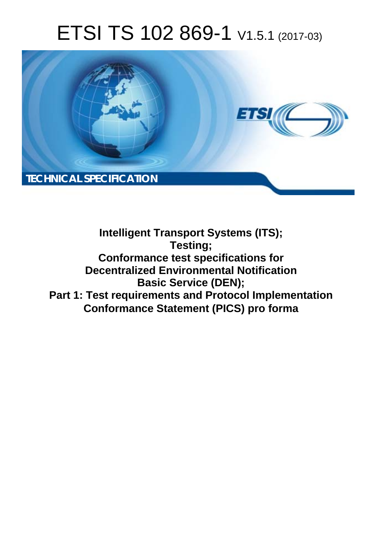# ETSI TS 102 869-1 V1.5.1 (2017-03)



**Intelligent Transport Systems (ITS); Testing; Conformance test specifications for Decentralized Environmental Notification Basic Service (DEN); Part 1: Test requirements and Protocol Implementation Conformance Statement (PICS) pro forma**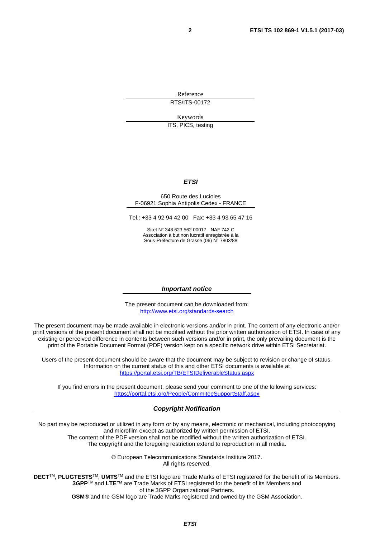Reference RTS/ITS-00172

Keywords

ITS, PICS, testing

#### *ETSI*

#### 650 Route des Lucioles F-06921 Sophia Antipolis Cedex - FRANCE

Tel.: +33 4 92 94 42 00 Fax: +33 4 93 65 47 16

Siret N° 348 623 562 00017 - NAF 742 C Association à but non lucratif enregistrée à la Sous-Préfecture de Grasse (06) N° 7803/88

#### *Important notice*

The present document can be downloaded from: <http://www.etsi.org/standards-search>

The present document may be made available in electronic versions and/or in print. The content of any electronic and/or print versions of the present document shall not be modified without the prior written authorization of ETSI. In case of any existing or perceived difference in contents between such versions and/or in print, the only prevailing document is the print of the Portable Document Format (PDF) version kept on a specific network drive within ETSI Secretariat.

Users of the present document should be aware that the document may be subject to revision or change of status. Information on the current status of this and other ETSI documents is available at <https://portal.etsi.org/TB/ETSIDeliverableStatus.aspx>

If you find errors in the present document, please send your comment to one of the following services: <https://portal.etsi.org/People/CommiteeSupportStaff.aspx>

#### *Copyright Notification*

No part may be reproduced or utilized in any form or by any means, electronic or mechanical, including photocopying and microfilm except as authorized by written permission of ETSI.

The content of the PDF version shall not be modified without the written authorization of ETSI. The copyright and the foregoing restriction extend to reproduction in all media.

> © European Telecommunications Standards Institute 2017. All rights reserved.

**DECT**TM, **PLUGTESTS**TM, **UMTS**TM and the ETSI logo are Trade Marks of ETSI registered for the benefit of its Members. **3GPP**TM and **LTE**™ are Trade Marks of ETSI registered for the benefit of its Members and of the 3GPP Organizational Partners.

**GSM**® and the GSM logo are Trade Marks registered and owned by the GSM Association.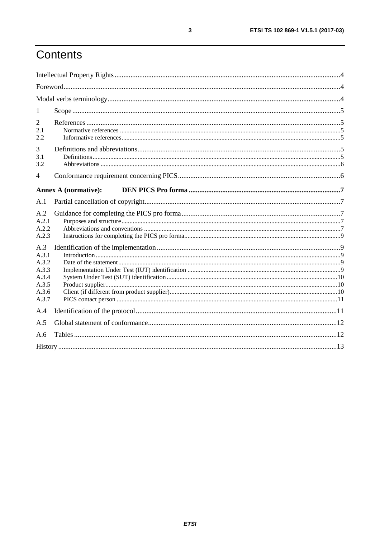## Contents

| 1                                                                  |                             |  |
|--------------------------------------------------------------------|-----------------------------|--|
| $\overline{2}$<br>2.1<br>2.2                                       |                             |  |
| 3<br>3.1<br>3.2                                                    |                             |  |
| $\overline{4}$                                                     |                             |  |
|                                                                    | <b>Annex A (normative):</b> |  |
| A.1                                                                |                             |  |
| A.2<br>A.2.1<br>A.2.2<br>A.2.3                                     |                             |  |
| A.3<br>A.3.1<br>A.3.2<br>A.3.3<br>A.3.4<br>A.3.5<br>A.3.6<br>A.3.7 |                             |  |
| A.4                                                                |                             |  |
| A.5                                                                |                             |  |
| A.6                                                                |                             |  |
|                                                                    |                             |  |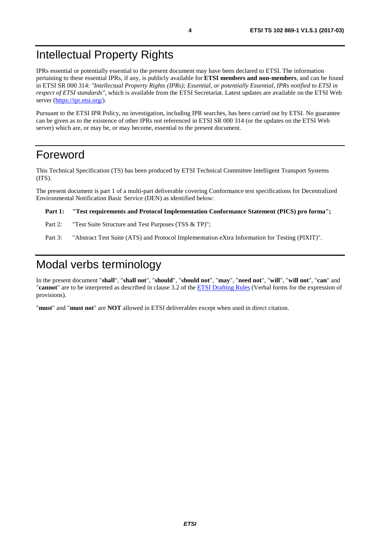## <span id="page-3-0"></span>Intellectual Property Rights

IPRs essential or potentially essential to the present document may have been declared to ETSI. The information pertaining to these essential IPRs, if any, is publicly available for **ETSI members and non-members**, and can be found in ETSI SR 000 314: *"Intellectual Property Rights (IPRs); Essential, or potentially Essential, IPRs notified to ETSI in respect of ETSI standards"*, which is available from the ETSI Secretariat. Latest updates are available on the ETSI Web server ([https://ipr.etsi.org/\)](https://ipr.etsi.org/).

Pursuant to the ETSI IPR Policy, no investigation, including IPR searches, has been carried out by ETSI. No guarantee can be given as to the existence of other IPRs not referenced in ETSI SR 000 314 (or the updates on the ETSI Web server) which are, or may be, or may become, essential to the present document.

## Foreword

This Technical Specification (TS) has been produced by ETSI Technical Committee Intelligent Transport Systems (ITS).

The present document is part 1 of a multi-part deliverable covering Conformance test specifications for Decentralized Environmental Notification Basic Service (DEN) as identified below:

#### **Part 1: "Test requirements and Protocol Implementation Conformance Statement (PICS) pro forma";**

- Part 2: "Test Suite Structure and Test Purposes (TSS & TP)";
- Part 3: "Abstract Test Suite (ATS) and Protocol Implementation eXtra Information for Testing (PIXIT)".

## Modal verbs terminology

In the present document "**shall**", "**shall not**", "**should**", "**should not**", "**may**", "**need not**", "**will**", "**will not**", "**can**" and "**cannot**" are to be interpreted as described in clause 3.2 of the [ETSI Drafting Rules](https://portal.etsi.org/Services/editHelp!/Howtostart/ETSIDraftingRules.aspx) (Verbal forms for the expression of provisions).

"**must**" and "**must not**" are **NOT** allowed in ETSI deliverables except when used in direct citation.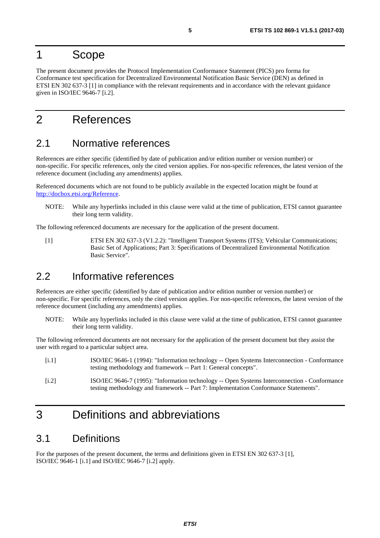### <span id="page-4-0"></span>1 Scope

The present document provides the Protocol Implementation Conformance Statement (PICS) pro forma for Conformance test specification for Decentralized Environmental Notification Basic Service (DEN) as defined in ETSI EN 302 637-3 [1] in compliance with the relevant requirements and in accordance with the relevant guidance given in ISO/IEC 9646-7 [i.2].

## 2 References

### 2.1 Normative references

References are either specific (identified by date of publication and/or edition number or version number) or non-specific. For specific references, only the cited version applies. For non-specific references, the latest version of the reference document (including any amendments) applies.

Referenced documents which are not found to be publicly available in the expected location might be found at [http://docbox.etsi.org/Reference.](http://docbox.etsi.org/Reference)

NOTE: While any hyperlinks included in this clause were valid at the time of publication, ETSI cannot guarantee their long term validity.

The following referenced documents are necessary for the application of the present document.

[1] ETSI EN 302 637-3 (V1.2.2): "Intelligent Transport Systems (ITS); Vehicular Communications; Basic Set of Applications; Part 3: Specifications of Decentralized Environmental Notification Basic Service".

## 2.2 Informative references

References are either specific (identified by date of publication and/or edition number or version number) or non-specific. For specific references, only the cited version applies. For non-specific references, the latest version of the reference document (including any amendments) applies.

NOTE: While any hyperlinks included in this clause were valid at the time of publication, ETSI cannot guarantee their long term validity.

The following referenced documents are not necessary for the application of the present document but they assist the user with regard to a particular subject area.

| [i, 1] | ISO/IEC 9646-1 (1994): "Information technology -- Open Systems Interconnection - Conformance<br>testing methodology and framework -- Part 1: General concepts".                      |
|--------|--------------------------------------------------------------------------------------------------------------------------------------------------------------------------------------|
| [i.2]  | ISO/IEC 9646-7 (1995): "Information technology -- Open Systems Interconnection - Conformance<br>testing methodology and framework -- Part 7: Implementation Conformance Statements". |

## 3 Definitions and abbreviations

### 3.1 Definitions

For the purposes of the present document, the terms and definitions given in ETSI EN 302 637-3 [1], ISO/IEC 9646-1 [i.1] and ISO/IEC 9646-7 [i.2] apply.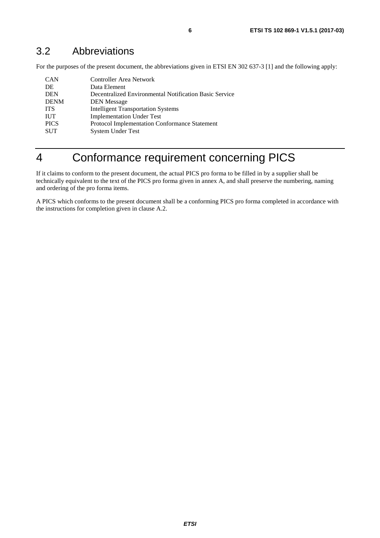## <span id="page-5-0"></span>3.2 Abbreviations

For the purposes of the present document, the abbreviations given in ETSI EN 302 637-3 [[1](#page-4-0)] and the following apply:

| <b>CAN</b>  | Controller Area Network                                |
|-------------|--------------------------------------------------------|
| DE          | Data Element                                           |
| <b>DEN</b>  | Decentralized Environmental Notification Basic Service |
| <b>DENM</b> | <b>DEN</b> Message                                     |
| <b>ITS</b>  | <b>Intelligent Transportation Systems</b>              |
| <b>IUT</b>  | <b>Implementation Under Test</b>                       |
| <b>PICS</b> | Protocol Implementation Conformance Statement          |
| <b>SUT</b>  | <b>System Under Test</b>                               |
|             |                                                        |

## 4 Conformance requirement concerning PICS

If it claims to conform to the present document, the actual PICS pro forma to be filled in by a supplier shall be technically equivalent to the text of the PICS pro forma given in annex A, and shall preserve the numbering, naming and ordering of the pro forma items.

A PICS which conforms to the present document shall be a conforming PICS pro forma completed in accordance with the instructions for completion given in clause A.2.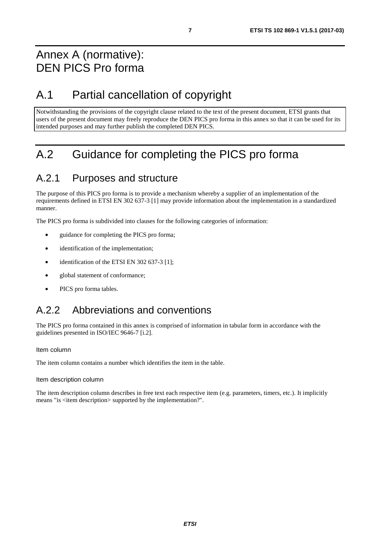## <span id="page-6-0"></span>Annex A (normative): DEN PICS Pro forma

## A.1 Partial cancellation of copyright

Notwithstanding the provisions of the copyright clause related to the text of the present document, ETSI grants that users of the present document may freely reproduce the DEN PICS pro forma in this annex so that it can be used for its intended purposes and may further publish the completed DEN PICS.

## A.2 Guidance for completing the PICS pro forma

## A.2.1 Purposes and structure

The purpose of this PICS pro forma is to provide a mechanism whereby a supplier of an implementation of the requirements defined in ETSI EN 302 637-3 [\[1](#page-4-0)] may provide information about the implementation in a standardized manner.

The PICS pro forma is subdivided into clauses for the following categories of information:

- guidance for completing the PICS pro forma;
- identification of the implementation;
- identification of the ETSI EN 302 637-3 [\[1\]](#page-4-0);
- global statement of conformance;
- PICS pro forma tables.

## A.2.2 Abbreviations and conventions

The PICS pro forma contained in this annex is comprised of information in tabular form in accordance with the guidelines presented in ISO/IEC 9646-7 [[i.2\]](#page-4-0).

#### Item column

The item column contains a number which identifies the item in the table.

#### Item description column

The item description column describes in free text each respective item (e.g. parameters, timers, etc.). It implicitly means "is <item description> supported by the implementation?".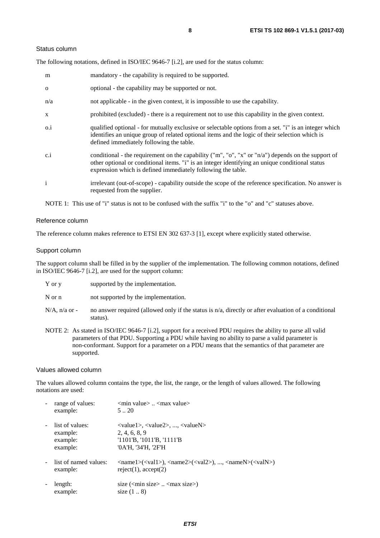#### Status column

The following notations, defined in ISO/IEC 9646-7 [\[i.2](#page-4-0)], are used for the status column:

| m            | mandatory - the capability is required to be supported.                                                                                                                                                                                                               |
|--------------|-----------------------------------------------------------------------------------------------------------------------------------------------------------------------------------------------------------------------------------------------------------------------|
| $\Omega$     | optional - the capability may be supported or not.                                                                                                                                                                                                                    |
| n/a          | not applicable - in the given context, it is impossible to use the capability.                                                                                                                                                                                        |
| X            | prohibited (excluded) - there is a requirement not to use this capability in the given context.                                                                                                                                                                       |
| $0.\dot{1}$  | qualified optional - for mutually exclusive or selectable options from a set. "i" is an integer which<br>identifies an unique group of related optional items and the logic of their selection which is<br>defined immediately following the table.                   |
| c.i          | conditional - the requirement on the capability ("m", "o", "x" or "n/a") depends on the support of<br>other optional or conditional items. "i" is an integer identifying an unique conditional status<br>expression which is defined immediately following the table. |
| $\mathbf{i}$ | irrelevant (out-of-scope) - capability outside the scope of the reference specification. No answer is<br>requested from the supplier.                                                                                                                                 |

NOTE 1: This use of "i" status is not to be confused with the suffix "i" to the "o" and "c" statuses above.

#### Reference column

The reference column makes reference to ETSI EN 302 637-3 [[1\]](#page-4-0), except where explicitly stated otherwise.

#### Support column

The support column shall be filled in by the supplier of the implementation. The following common notations, defined in ISO/IEC 9646-7 [\[i.2\]](#page-4-0), are used for the support column:

| Y or y | supported by the implementation. |
|--------|----------------------------------|
|        |                                  |

N or n not supported by the implementation.

- $N/A$ , n/a or no answer required (allowed only if the status is n/a, directly or after evaluation of a conditional status).
- NOTE 2: As stated in ISO/IEC 9646-7 [[i.2](#page-4-0)], support for a received PDU requires the ability to parse all valid parameters of that PDU. Supporting a PDU while having no ability to parse a valid parameter is non-conformant. Support for a parameter on a PDU means that the semantics of that parameter are supported.

#### Values allowed column

The values allowed column contains the type, the list, the range, or the length of values allowed. The following notations are used:

| range of values:<br>example:                        | $\leq$ min value $>$ $\leq$ max value $>$<br>520                                                                                                                                                            |
|-----------------------------------------------------|-------------------------------------------------------------------------------------------------------------------------------------------------------------------------------------------------------------|
| list of values:<br>example:<br>example:<br>example: | $\langle \text{value1}\rangle, \langle \text{value2}\rangle, , \langle \text{valueN}\rangle$<br>2, 4, 6, 8, 9<br>$'1101'B$ , $'1011'B$ , $'1111'B$<br>'0A'H, '34'H, '2F'H                                   |
| list of named values:<br>example:                   | $\langle \text{name1}\rangle(\langle \text{val1}\rangle)$ , $\langle \text{name2}\rangle(\langle \text{val2}\rangle)$ , , $\langle \text{nameN}\rangle(\langle \text{valN}\rangle)$<br>reject(1), accept(2) |
| length:<br>example:                                 | size $(\text{min size} > \dots < \text{max size})$<br>size $(18)$                                                                                                                                           |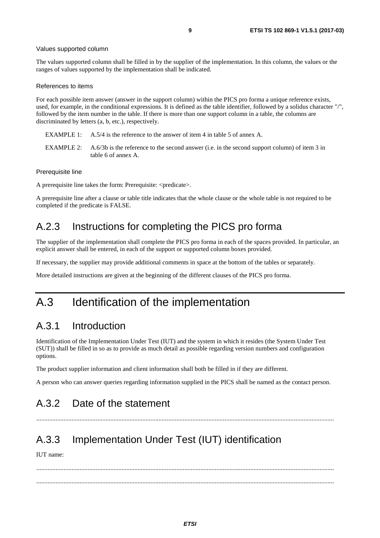#### <span id="page-8-0"></span>Values supported column

The values supported column shall be filled in by the supplier of the implementation. In this column, the values or the ranges of values supported by the implementation shall be indicated.

#### References to items

For each possible item answer (answer in the support column) within the PICS pro forma a unique reference exists, used, for example, in the conditional expressions. It is defined as the table identifier, followed by a solidus character "/", followed by the item number in the table. If there is more than one support column in a table, the columns are discriminated by letters (a, b, etc.), respectively.

- EXAMPLE 1: A.5/4 is the reference to the answer of item 4 in table 5 of annex A.
- EXAMPLE 2: A.6/3b is the reference to the second answer (i.e. in the second support column) of item 3 in table 6 of annex A.

#### Prerequisite line

A prerequisite line takes the form: Prerequisite: <predicate>.

A prerequisite line after a clause or table title indicates that the whole clause or the whole table is not required to be completed if the predicate is FALSE.

### A.2.3 Instructions for completing the PICS pro forma

The supplier of the implementation shall complete the PICS pro forma in each of the spaces provided. In particular, an explicit answer shall be entered, in each of the support or supported column boxes provided.

If necessary, the supplier may provide additional comments in space at the bottom of the tables or separately.

More detailed instructions are given at the beginning of the different clauses of the PICS pro forma.

## A.3 Identification of the implementation

### A.3.1 Introduction

Identification of the Implementation Under Test (IUT) and the system in which it resides (the System Under Test (SUT)) shall be filled in so as to provide as much detail as possible regarding version numbers and configuration options.

The product supplier information and client information shall both be filled in if they are different.

A person who can answer queries regarding information supplied in the PICS shall be named as the contact person.

.........................................................................................................................................................................................

### A.3.2 Date of the statement

## A.3.3 Implementation Under Test (IUT) identification

IUT name:

 ......................................................................................................................................................................................... .........................................................................................................................................................................................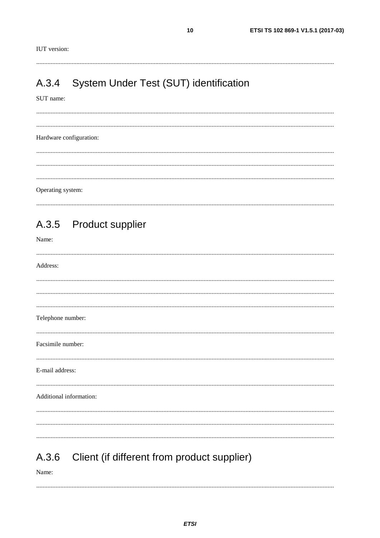<span id="page-9-0"></span>**IUT** version:

#### System Under Test (SUT) identification A.3.4

SUT name:

Hardware configuration: Operating system:

|                   | A.3.5 Product supplier                      |
|-------------------|---------------------------------------------|
| Name:             |                                             |
| Address:          |                                             |
|                   |                                             |
|                   |                                             |
| Telephone number: |                                             |
| Facsimile number: |                                             |
| E-mail address:   |                                             |
|                   | Additional information:                     |
|                   |                                             |
| A.3.6<br>Name:    | Client (if different from product supplier) |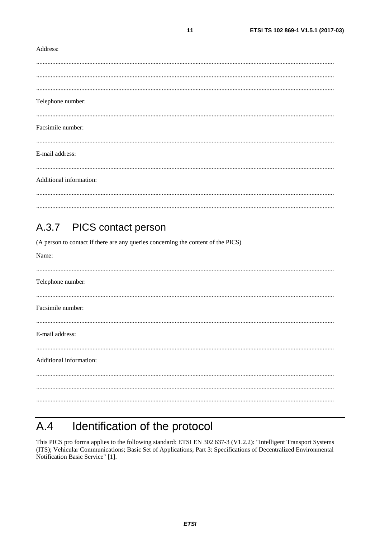#### <span id="page-10-0"></span>Address:

| Telephone number:       |
|-------------------------|
| Facsimile number:       |
| E-mail address:         |
| Additional information: |
|                         |

 $11$ 

#### PICS contact person  $A.3.7$

(A person to contact if there are any queries concerning the content of the PICS)

| Name:                   |
|-------------------------|
|                         |
| Telephone number:       |
|                         |
| Facsimile number:       |
|                         |
| E-mail address:         |
|                         |
| Additional information: |
|                         |
|                         |
|                         |
|                         |

#### Identification of the protocol  $A.4$

This PICS pro forma applies to the following standard: ETSI EN 302 637-3 (V1.2.2): "Intelligent Transport Systems (ITS); Vehicular Communications; Basic Set of Applications; Part 3: Specifications of Decentralized Environmental Notification Basic Service" [1].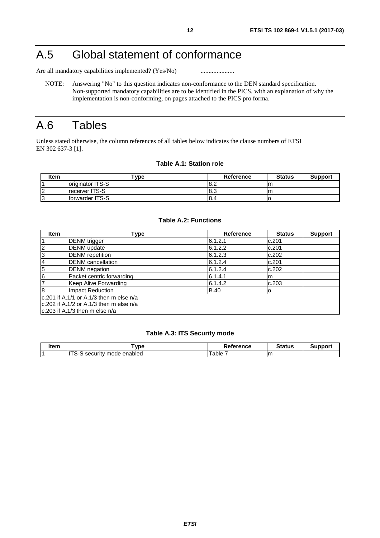## <span id="page-11-0"></span>A.5 Global statement of conformance

Are all mandatory capabilities implemented? (Yes/No) ............................

NOTE: Answering "No" to this question indicates non-conformance to the DEN standard specification. Non-supported mandatory capabilities are to be identified in the PICS, with an explanation of why the implementation is non-conforming, on pages attached to the PICS pro forma.

## A.6 Tables

Unless stated otherwise, the column references of all tables below indicates the clause numbers of ETSI EN 302 637-3 [\[1](#page-4-0)].

#### **Table A.1: Station role**

| <b>Item</b> | $^{\mathsf{T}}$ ype     | <b>Reference</b> | <b>Status</b> | <b>Support</b> |
|-------------|-------------------------|------------------|---------------|----------------|
|             | loriginator ITS-S       | 8.2              | m             |                |
| $\sqrt{2}$  | <b>Ireceiver ITS-S</b>  | 8.3              | m             |                |
| $\sim$<br>N | <b>Iforwarder ITS-S</b> | <b>8.4</b>       |               |                |

#### **Table A.2: Functions**

| <b>Item</b>                                    | Type                                     | <b>Reference</b> | <b>Status</b> | <b>Support</b> |  |
|------------------------------------------------|------------------------------------------|------------------|---------------|----------------|--|
|                                                | <b>DENM</b> trigger                      | 6.1.2.1          | c.201         |                |  |
| $\overline{c}$                                 | <b>DENM</b> update                       | 6.1.2.2          | c.201         |                |  |
| 3                                              | <b>DENM</b> repetition                   | 6.1.2.3          | c.202         |                |  |
| $\overline{4}$                                 | <b>DENM</b> cancellation                 | 6.1.2.4          | c.201         |                |  |
| 5                                              | <b>DENM</b> negation                     | 6.1.2.4          | c.202         |                |  |
| $\overline{6}$                                 | Packet centric forwarding                | 6.1.4.1          | m             |                |  |
| $\overline{7}$                                 | Keep Alive Forwarding                    | 6.1.4.2          | c.203         |                |  |
| $\overline{8}$                                 | Impact Reduction                         | <b>B.40</b>      | о             |                |  |
|                                                | lc.201 if A.1/1 or A.1/3 then m else n/a |                  |               |                |  |
| $\rm lc.202$ if A.1/2 or A.1/3 then m else n/a |                                          |                  |               |                |  |
|                                                | $ c.203$ if A.1/3 then m else n/a        |                  |               |                |  |

#### **Table A.3: ITS Security mode**

| l÷nm<br>ונסווו | vpe                                                    | <b>D</b><br>Reference | Status | . |
|----------------|--------------------------------------------------------|-----------------------|--------|---|
|                | 1T <sub>0</sub><br>enabled<br>mode<br>security .<br>∼- | able                  | m      |   |